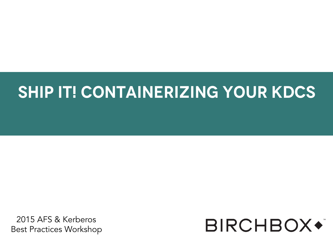#### **Ship It! Containerizing your KDCs**

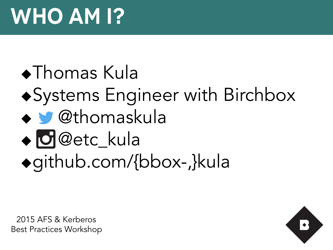**Systems Engineer with Birchbox**  $\bullet$ Thomas Kula  $\bullet$  Systems Engineer with Birchbox  $\triangle$   $\blacksquare$  @thomaskula  $\triangle$  **O** @etc\_kula ugithub.com/{bbox-,}kula

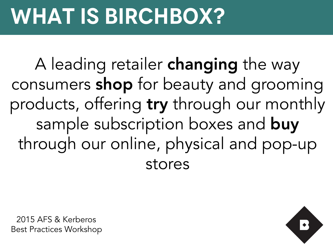## **What is birchbox?**

Consumers **shop** for beauty and grooming A leading retailer **changing** the way consumers **shop** for beauty and grooming products, offering try through our monthly sample subscription boxes and buy through our online, physical and pop-up stores

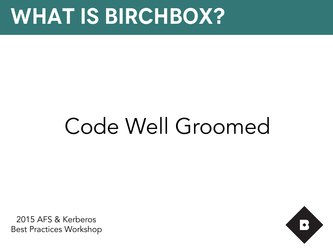### **What is birchbox?**

# Code Well Groomed

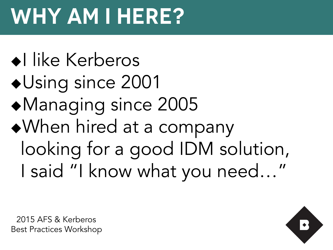# **Why am I here?**

 $\triangleleft$ l like Kerberos  $\blacklozenge$ Using since 2001  $\blacklozenge$ Managing since 2005 When hired at a company looking for a good IDM solution, I said "I know what you need…"

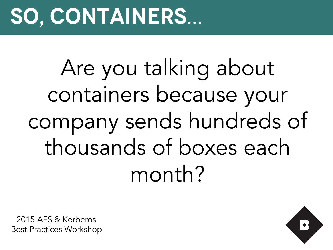## **So, containers…**

Are you talking about containers because your company sends hundreds of thousands of boxes each month?

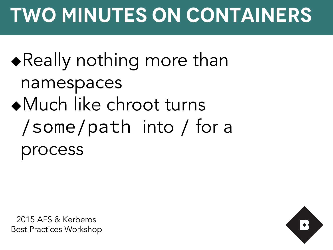### $\blacklozenge$  Really nothing more than namespaces <sup>u</sup>Much like chroot turns /some/path into / for a process

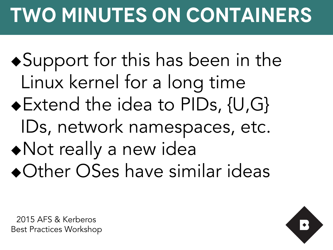$\bullet$  Support for this has been in the Linux kernel for a long time ◆ Extend the idea to PIDs, {U,G} IDs, network namespaces, etc.  $\blacklozenge$  Not really a new idea • Other OSes have similar ideas

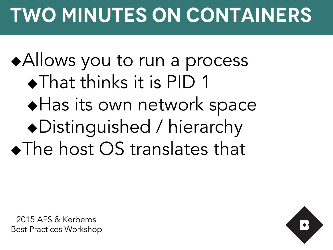#### ◆ Allows you to run a process  $\bullet$ That thinks it is PID 1  $\blacklozenge$  Has its own network space «Distinguished / hierarchy  $\blacklozenge$  The host OS translates that

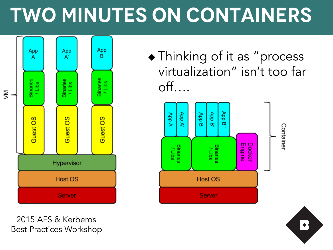

2015 AFS & Kerberos Best Practices Workshop  $\triangle$  Thinking of it as "process virtualization" isn't too far off….



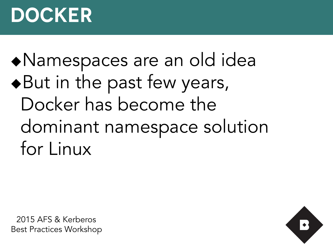#### **Docker**

#### «Namespaces are an old idea  $\bullet$  But in the past few years, Docker has become the dominant namespace solution for Linux

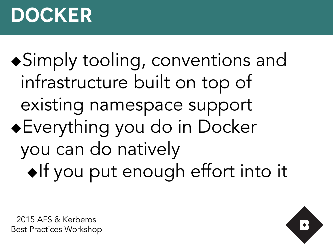#### **Docker**

◆Simply tooling, conventions and infrastructure built on top of existing namespace support  $\bullet$  Everything you do in Docker you can do natively  $\bullet$ If you put enough effort into it

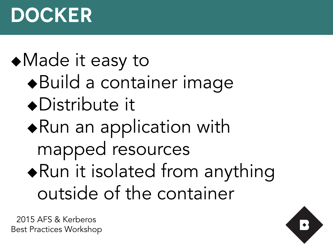#### **Docker**

#### • Made it easy to

- «Build a container image
- $\bullet$ Distribute it
- $\blacklozenge$ Run an application with mapped resources
- $\blacklozenge$ Run it isolated from anything outside of the container

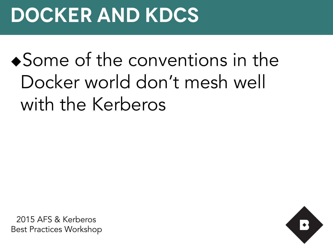### **Docker and KDCs**

#### $\bullet$  Some of the conventions in the Docker world don't mesh well with the Kerberos

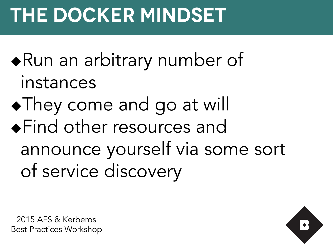## **The Docker Mindset**

- $\triangle$ Run an arbitrary number of instances
- **. They come and go at will Get The Set of Setures and Setures** announce yourself via some sort of service discovery



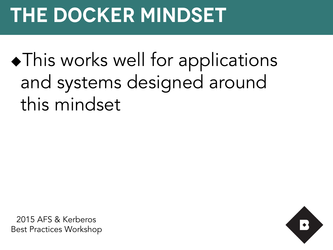## **The Docker Mindset**

 $\bullet$  This works well for applications and systems designed around this mindset

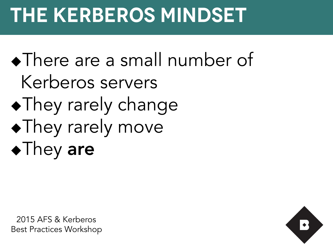### **The Kerberos Mindset**

• There are a small number of Kerberos servers  $\blacklozenge$ They rarely change • They rarely move  $\blacklozenge$ They are

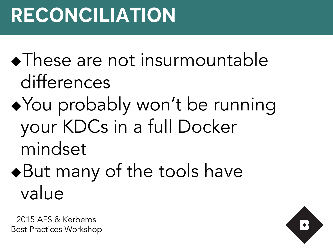$\blacklozenge$ These are not insurmountable differences

- ◆ You probably won't be running your KDCs in a full Docker mindset
- $\blacklozenge$  But many of the tools have value

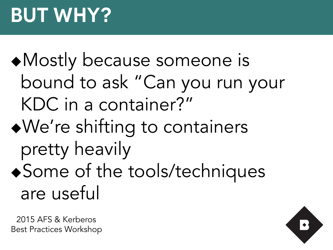#### • Mostly because someone is bound to ask "Can you run your KDC in a container?"

- <sup>u</sup>We're shifting to containers pretty heavily ◆ Some of the tools/techniques
	- are useful

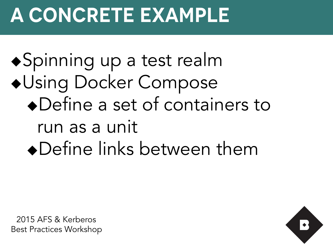#### **A Concrete Example**

◆Spinning up a test realm **\*Using Docker Compose**  $\bullet$  Define a set of containers to run as a unit • Define links between them

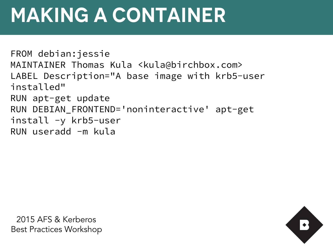FROM debian:jessie MAINTAINER Thomas Kula <kula@birchbox.com> LABEL Description="A base image with krb5-user installed" RUN apt-get update RUN DEBIAN\_FRONTEND='noninteractive' apt-get install -y krb5-user RUN useradd -m kula

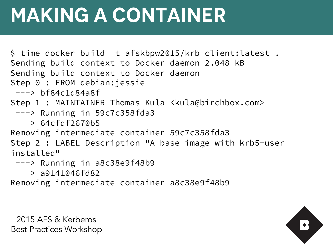\$ time docker build -t afskbpw2015/krb-client:latest . Sending build context to Docker daemon 2.048 kB Sending build context to Docker daemon Step 0 : FROM debian:jessie  $---> bfg4c1d84a8f$ Step 1 : MAINTAINER Thomas Kula <kula@birchbox.com> ---> Running in 59c7c358fda3 ---> 64cfdf2670b5 Removing intermediate container 59c7c358fda3 Step 2 : LABEL Description "A base image with krb5-user installed"

- ---> Running in a8c38e9f48b9
- $---> a9141046fd82$

Removing intermediate container a8c38e9f48b9

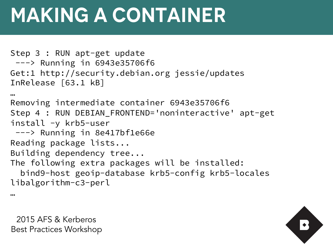```
Step 3 : RUN apt-get update 
  ---> Running in 6943e35706f6 
Get:1 http://security.debian.org jessie/updates 
InRelease [63.1 kB] 
… 
Removing intermediate container 6943e35706f6 
Step 4 : RUN DEBIAN_FRONTEND='noninteractive' apt-get 
install -y krb5-user 
  ---> Running in 8e417bf1e66e 
Reading package lists... 
Building dependency tree... 
The following extra packages will be installed: 
   bind9-host geoip-database krb5-config krb5-locales 
libalgorithm-c3-perl
```
2015 AFS & Kerberos Best Practices Workshop

…

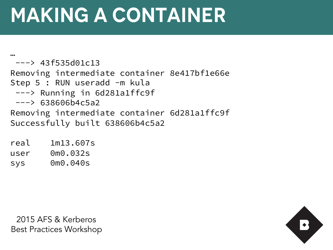… ---> 43f535d01c13 Removing intermediate container 8e417bf1e66e Step 5 : RUN useradd -m kula ---> Running in 6d281a1ffc9f  $---> 638606b4c5a2$ Removing intermediate container 6d281a1ffc9f Successfully built 638606b4c5a2

real 1m13.607s user 0m0.032s sys 0m0.040s

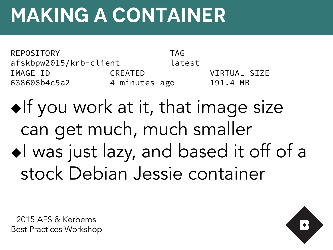REPOSITORY TAG afskbpw2015/krb-client latest IMAGE ID CREATED VIRTUAL SIZE 638606b4c5a2 4 minutes ago 191.4 MB

 $\bullet$ If you work at it, that image size can get much, much smaller  $\bullet$  I was just lazy, and based it off of a stock Debian Jessie container



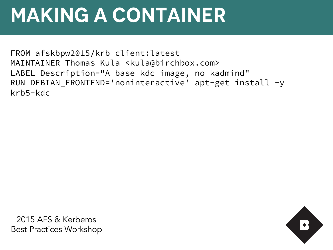FROM afskbpw2015/krb-client:latest MAINTAINER Thomas Kula <kula@birchbox.com> LABEL Description="A base kdc image, no kadmind" RUN DEBIAN\_FRONTEND='noninteractive' apt-get install -y krb5-kdc

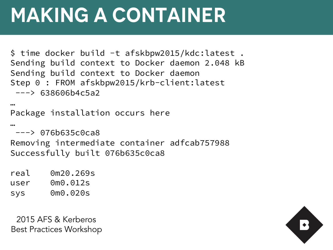```
$ time docker build -t afskbpw2015/kdc:latest . 
Sending build context to Docker daemon 2.048 kB
Sending build context to Docker daemon 
Step 0 : FROM afskbpw2015/krb-client:latest
 ---& 638606b4c5a2
```

```
Package installation occurs here
```

```
…
```
…

```
---> 076b635c0ca8
```
Removing intermediate container adfcab757988 Successfully built 076b635c0ca8

real 0m20.269s user 0m0.012s sys 0m0.020s

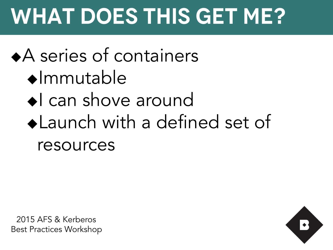# **What Does This Get Me?**

#### $\triangle$  series of containers

- $\bullet$ Immutable
- $S<sub>1</sub>$  can chave around  $\blacklozenge$ I can shove around
	- $\triangle$  Launch with a defined set of resources

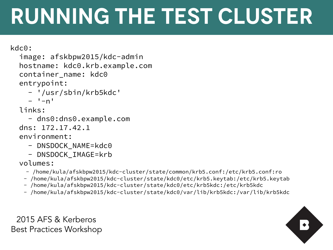kdc0:

```
 image: afskbpw2015/kdc-admin
 hostname: kdc0.krb.example.com 
container name: kdc0
 entrypoint:
```
encryponne:<br>- '/usr/sbin/krb5kdc'

```
- -n'
```
#### links:

```
 - dns0:dns0.example.com
```

```
 dns: 172.17.42.1
```
environment:

- DNSDOCK NAME=kdc0
- DNSDOCK\_IMAGE=krb

volumes:

- /home/kula/afskbpw2015/kdc-cluster/state/common/krb5.conf:/etc/krb5.conf:ro
- /home/kula/afskbpw2015/kdc-cluster/state/kdc0/etc/krb5.keytab:/etc/krb5.keytab
- /home/kula/afskbpw2015/kdc-cluster/state/kdc0/etc/krb5kdc:/etc/krb5kdc
- /home/kula/afskbpw2015/kdc-cluster/state/kdc0/var/lib/krb5kdc:/var/lib/krb5kdc

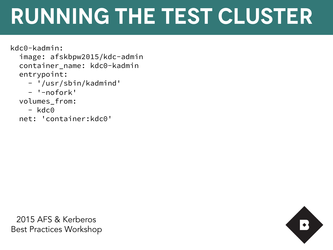- /usr/sbin/kauminu<br>- '-nofork'<br>kdc0-kadmin: image: afskbpw2015/kdc-admin container\_name: kdc0-kadmin entrypoint: - '/usr/sbin/kadmind' - '-nofork' volumes\_from: - kdc0

net: 'container:kdc0'

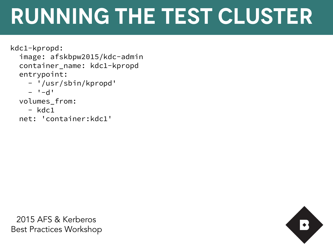```
- /usr/sbill/kpropa<br>- <sup>1</sup>-d'
kdc1-kpropd: 
  image: afskbpw2015/kdc-admin 
  container_name: kdc1-kpropd 
  entrypoint: 
    - '/usr/sbin/kpropd' 
   - -d'
  volumes_from: 
   -kdc1 net: 'container:kdc1'
```
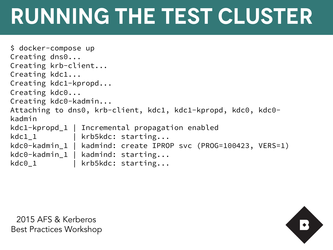```
Ship It! Containerizing your KDCs 
$ docker-compose up 
Creating dns0... 
Creating krb-client... 
Creating kdc1... 
Creating kdc1-kpropd... 
Creating kdc0... 
Creating kdc0-kadmin... 
Attaching to dns0, krb-client, kdc1, kdc1-kpropd, kdc0, kdc0-
kadmin 
kdc1-kpropd_1 | Incremental propagation enabled 
kdc1_1 | krb5kdc: starting...
kdc0-kadmin_1 | kadmind: create IPROP svc (PROG=100423, VERS=1) 
kdc0-kadmin_1 | kadmind: starting... 
kdc0_1 | krb5kdc: starting...
```
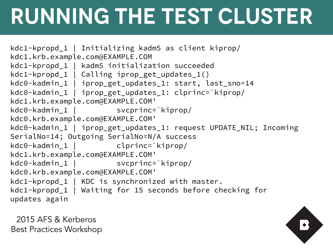```
Ship It! Containerizing your KDCs 
kdc0-kadmin_1 | iprop_get_updates_1: clprinc=`kiprop/
kdc1-kpropd_1 | Initializing kadm5 as client kiprop/
kdc1.krb.example.com@EXAMPLE.COM 
kdc1-kpropd_1 | kadm5 initialization succeeded
kdc1-kpropd_1 | Calling iprop_get_updates_1() 
kdc0-kadmin_1 | iprop_get_updates_1: start, last_sno=14 
kdc1.krb.example.com@EXAMPLE.COM' 
kdc0-kadmin_1 | svcprinc=`kiprop/
kdc0.krb.example.com@EXAMPLE.COM' 
kdc0-kadmin_1 | iprop_get_updates_1: request UPDATE_NIL; Incoming 
SerialNo=14; Outgoing SerialNo=N/A success
kdc0-kadmin_1 | clprinc=`kiprop/
kdc1.krb.example.com@EXAMPLE.COM' 
kdc0-kadmin 1 | svcprinc=`kiprop/
kdc0.krb.example.com@EXAMPLE.COM' 
kdc1-kpropd_1 | KDC is synchronized with master. 
kdc1-kpropd_1 | Waiting for 15 seconds before checking for
updates again
```
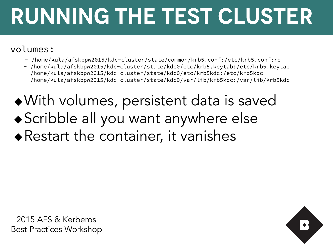#### volumes:

- /home/kula/afskbpw2015/kdc-cluster/state/common/krb5.conf:/etc/krb5.conf:ro
- /home/kula/afskbpw2015/kdc-cluster/state/kdc0/etc/krb5.keytab:/etc/krb5.keytab
- /home/kula/afskbpw2015/kdc-cluster/state/kdc0/etc/krb5kdc:/etc/krb5kdc
- /home/kula/afskbpw2015/kdc-cluster/state/kdc0/var/lib/krb5kdc:/var/lib/krb5kdc
- $\bullet$  With volumes, persistent data is saved  $\bullet$  Scribble all you want anywhere else  $\triangle$ Restart the container, it vanishes



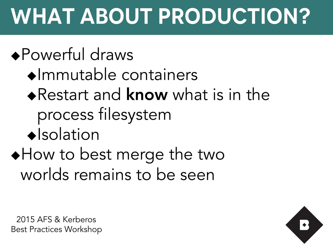# **What About Production?**

#### $\triangle$  Powerful draws

- $\bullet$ Immutable containers
- $\triangle$ Restart and know what is in the process filesystem
- $\triangle$ Isolation

#### $\triangle$  How to best merge the two worlds remains to be seen

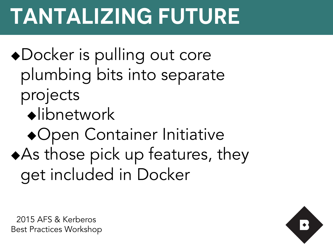# **Tantalizing Future**

- ◆Docker is pulling out core plumbing bits into separate projects
	- $\bullet$ libnetwork
- **\*Open Container Initiative**  $\triangle$ As those pick up features, they get included in Docker



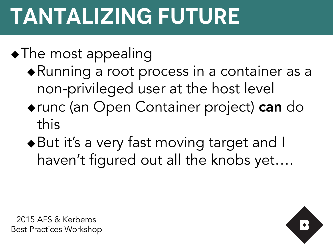# **Tantalizing Future**

#### $\bullet$  The most appealing

- $\blacklozenge$  Running a root process in a container as a non-privileged user at the host level
- ◆ runc (an Open Container project) can do this
- $\bullet$  But it's a very fast moving target and I haven't figured out all the knobs yet….